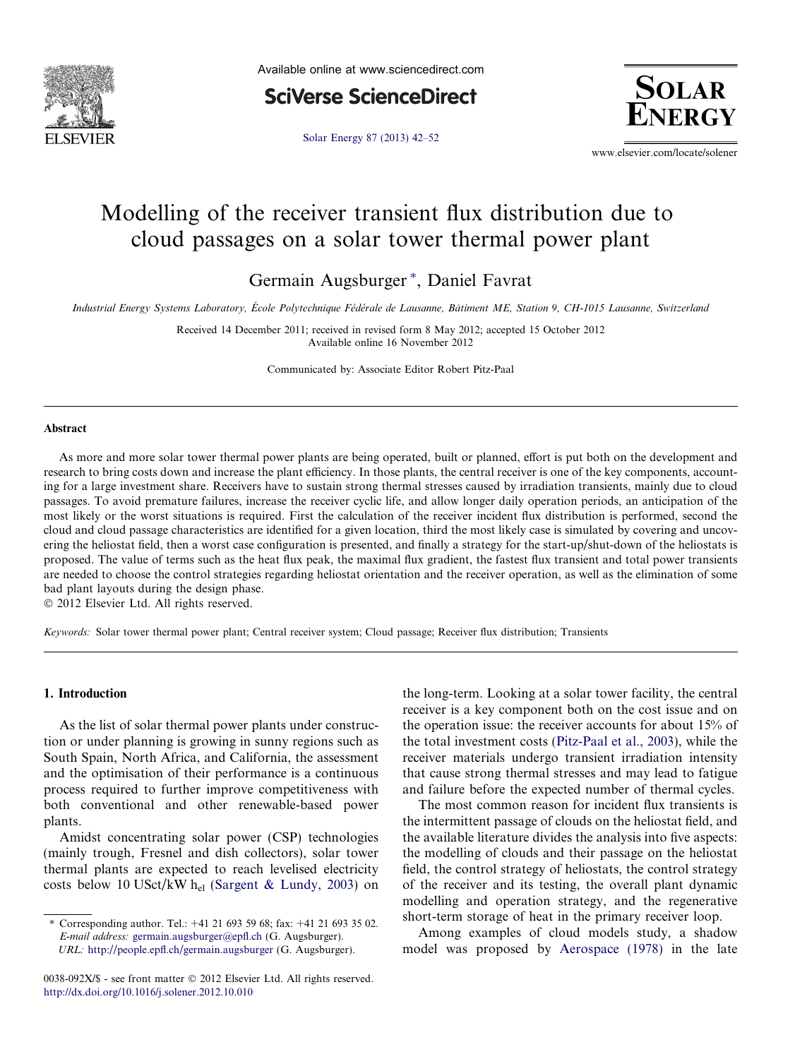

Available online at www.sciencedirect.com

**SciVerse ScienceDirect** 



[Solar Energy 87 \(2013\) 42–52](http://dx.doi.org/10.1016/j.solener.2012.10.010)

www.elsevier.com/locate/solener

# Modelling of the receiver transient flux distribution due to cloud passages on a solar tower thermal power plant

Germain Augsburger\*, Daniel Favrat

Industrial Energy Systems Laboratory, École Polytechnique Fédérale de Lausanne, Bâtiment ME, Station 9, CH-1015 Lausanne, Switzerland

Received 14 December 2011; received in revised form 8 May 2012; accepted 15 October 2012 Available online 16 November 2012

Communicated by: Associate Editor Robert Pitz-Paal

### Abstract

As more and more solar tower thermal power plants are being operated, built or planned, effort is put both on the development and research to bring costs down and increase the plant efficiency. In those plants, the central receiver is one of the key components, accounting for a large investment share. Receivers have to sustain strong thermal stresses caused by irradiation transients, mainly due to cloud passages. To avoid premature failures, increase the receiver cyclic life, and allow longer daily operation periods, an anticipation of the most likely or the worst situations is required. First the calculation of the receiver incident flux distribution is performed, second the cloud and cloud passage characteristics are identified for a given location, third the most likely case is simulated by covering and uncovering the heliostat field, then a worst case configuration is presented, and finally a strategy for the start-up/shut-down of the heliostats is proposed. The value of terms such as the heat flux peak, the maximal flux gradient, the fastest flux transient and total power transients are needed to choose the control strategies regarding heliostat orientation and the receiver operation, as well as the elimination of some bad plant layouts during the design phase.

© 2012 Elsevier Ltd. All rights reserved.

Keywords: Solar tower thermal power plant; Central receiver system; Cloud passage; Receiver flux distribution; Transients

### 1. Introduction

As the list of solar thermal power plants under construction or under planning is growing in sunny regions such as South Spain, North Africa, and California, the assessment and the optimisation of their performance is a continuous process required to further improve competitiveness with both conventional and other renewable-based power plants.

Amidst concentrating solar power (CSP) technologies (mainly trough, Fresnel and dish collectors), solar tower thermal plants are expected to reach levelised electricity costs below 10 USct/kW hel [\(Sargent & Lundy, 2003](#page--1-0)) on

the long-term. Looking at a solar tower facility, the central receiver is a key component both on the cost issue and on the operation issue: the receiver accounts for about 15% of the total investment costs [\(Pitz-Paal et al., 2003](#page--1-0)), while the receiver materials undergo transient irradiation intensity that cause strong thermal stresses and may lead to fatigue and failure before the expected number of thermal cycles.

The most common reason for incident flux transients is the intermittent passage of clouds on the heliostat field, and the available literature divides the analysis into five aspects: the modelling of clouds and their passage on the heliostat field, the control strategy of heliostats, the control strategy of the receiver and its testing, the overall plant dynamic modelling and operation strategy, and the regenerative short-term storage of heat in the primary receiver loop.

Among examples of cloud models study, a shadow model was proposed by [Aerospace \(1978\)](#page--1-0) in the late

<sup>⇑</sup> Corresponding author. Tel.: +41 21 693 59 68; fax: +41 21 693 35 02. E-mail address: [germain.augsburger@epfl.ch](mailto:germain.augsburger@epfl.ch) (G. Augsburger). URL: <http://people.epfl.ch/germain.augsburger> (G. Augsburger).

<sup>0038-092</sup>X/\$ - see front matter © 2012 Elsevier Ltd. All rights reserved. <http://dx.doi.org/10.1016/j.solener.2012.10.010>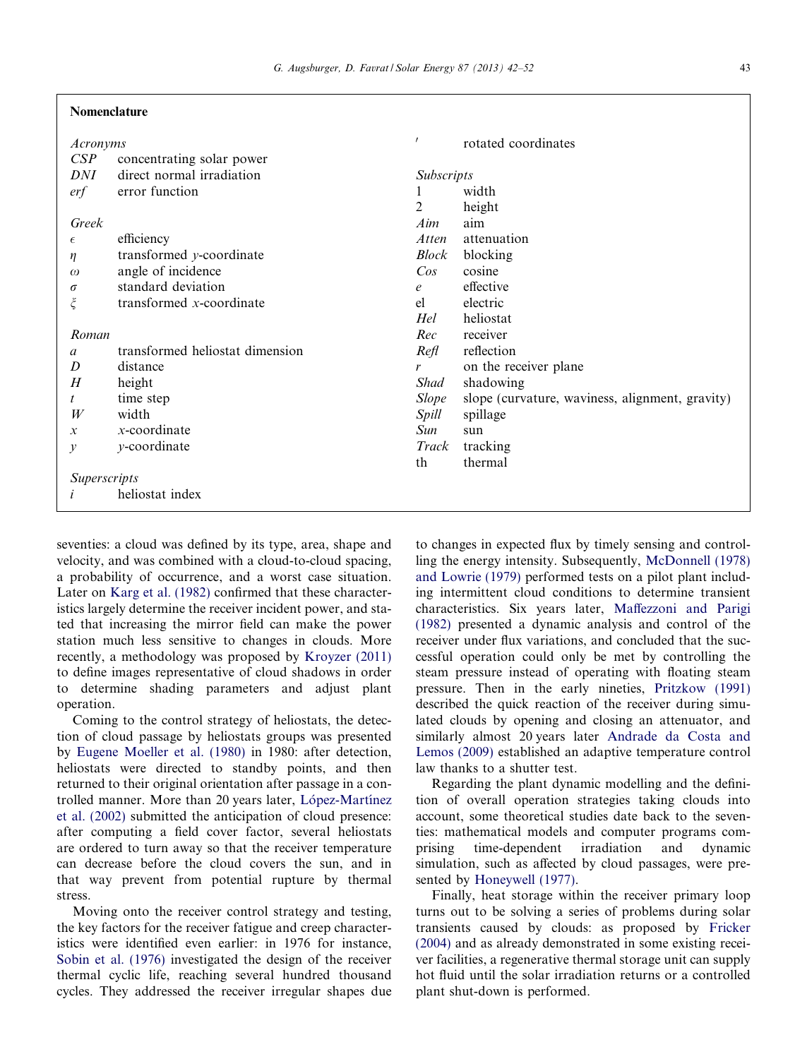#### Nomenclature

| Acronyms            |                                 | $\prime$          | rotated coordinates                             |
|---------------------|---------------------------------|-------------------|-------------------------------------------------|
| CSP                 | concentrating solar power       |                   |                                                 |
| DNI                 | direct normal irradiation       | <b>Subscripts</b> |                                                 |
| erf                 | error function                  |                   | width                                           |
|                     |                                 | 2                 | height                                          |
| Greek               |                                 | Aim               | aim                                             |
| $\epsilon$          | efficiency                      | <i>Atten</i>      | attenuation                                     |
| η                   | transformed y-coordinate        | Block             | blocking                                        |
| $\omega$            | angle of incidence              | Cos               | cosine                                          |
| σ                   | standard deviation              | $\ell$            | effective                                       |
| ξ                   | transformed x-coordinate        | el                | electric                                        |
|                     |                                 | Hel               | heliostat                                       |
| Roman               |                                 | Rec               | receiver                                        |
| a                   | transformed heliostat dimension | Refl              | reflection                                      |
| D                   | distance                        | r                 | on the receiver plane                           |
| H                   | height                          | Shad              | shadowing                                       |
| t                   | time step                       | <b>Slope</b>      | slope (curvature, waviness, alignment, gravity) |
| W                   | width                           | Spill             | spillage                                        |
| $\mathcal{X}$       | $x$ -coordinate                 | Sun               | sun                                             |
| у                   | $y$ -coordinate                 | Track             | tracking                                        |
|                     |                                 | th                | thermal                                         |
| <i>Superscripts</i> |                                 |                   |                                                 |
|                     | heliostat index                 |                   |                                                 |
|                     |                                 |                   |                                                 |

seventies: a cloud was defined by its type, area, shape and velocity, and was combined with a cloud-to-cloud spacing, a probability of occurrence, and a worst case situation. Later on [Karg et al. \(1982\)](#page--1-0) confirmed that these characteristics largely determine the receiver incident power, and stated that increasing the mirror field can make the power station much less sensitive to changes in clouds. More recently, a methodology was proposed by [Kroyzer \(2011\)](#page--1-0) to define images representative of cloud shadows in order to determine shading parameters and adjust plant operation.

Coming to the control strategy of heliostats, the detection of cloud passage by heliostats groups was presented by [Eugene Moeller et al. \(1980\)](#page--1-0) in 1980: after detection, heliostats were directed to standby points, and then returned to their original orientation after passage in a controlled manner. More than 20 years later, López-Martínez [et al. \(2002\)](#page--1-0) submitted the anticipation of cloud presence: after computing a field cover factor, several heliostats are ordered to turn away so that the receiver temperature can decrease before the cloud covers the sun, and in that way prevent from potential rupture by thermal stress.

Moving onto the receiver control strategy and testing, the key factors for the receiver fatigue and creep characteristics were identified even earlier: in 1976 for instance, [Sobin et al. \(1976\)](#page--1-0) investigated the design of the receiver thermal cyclic life, reaching several hundred thousand cycles. They addressed the receiver irregular shapes due to changes in expected flux by timely sensing and controlling the energy intensity. Subsequently, [McDonnell \(1978\)](#page--1-0) [and Lowrie \(1979\)](#page--1-0) performed tests on a pilot plant including intermittent cloud conditions to determine transient characteristics. Six years later, [Maffezzoni and Parigi](#page--1-0) [\(1982\)](#page--1-0) presented a dynamic analysis and control of the receiver under flux variations, and concluded that the successful operation could only be met by controlling the steam pressure instead of operating with floating steam pressure. Then in the early nineties, [Pritzkow \(1991\)](#page--1-0) described the quick reaction of the receiver during simulated clouds by opening and closing an attenuator, and similarly almost 20 years later [Andrade da Costa and](#page--1-0) [Lemos \(2009\)](#page--1-0) established an adaptive temperature control law thanks to a shutter test.

Regarding the plant dynamic modelling and the definition of overall operation strategies taking clouds into account, some theoretical studies date back to the seventies: mathematical models and computer programs comprising time-dependent irradiation and dynamic simulation, such as affected by cloud passages, were presented by [Honeywell \(1977\)](#page--1-0).

Finally, heat storage within the receiver primary loop turns out to be solving a series of problems during solar transients caused by clouds: as proposed by [Fricker](#page--1-0) [\(2004\)](#page--1-0) and as already demonstrated in some existing receiver facilities, a regenerative thermal storage unit can supply hot fluid until the solar irradiation returns or a controlled plant shut-down is performed.